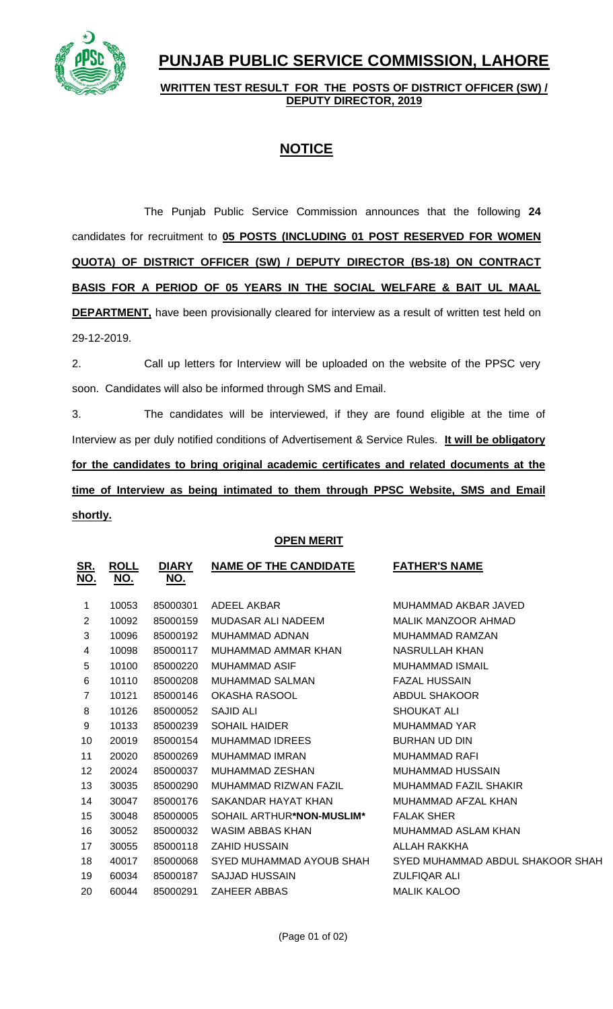

# **PUNJAB PUBLIC SERVICE COMMISSION, LAHORE**

### **WRITTEN TEST RESULT FOR THE POSTS OF DISTRICT OFFICER (SW) / DEPUTY DIRECTOR, 2019**

## **NOTICE**

The Punjab Public Service Commission announces that the following **24** candidates for recruitment to **05 POSTS (INCLUDING 01 POST RESERVED FOR WOMEN QUOTA) OF DISTRICT OFFICER (SW) / DEPUTY DIRECTOR (BS-18) ON CONTRACT BASIS FOR A PERIOD OF 05 YEARS IN THE SOCIAL WELFARE & BAIT UL MAAL DEPARTMENT**, have been provisionally cleared for interview as a result of written test held on 29-12-2019.

2. Call up letters for Interview will be uploaded on the website of the PPSC very soon. Candidates will also be informed through SMS and Email.

3. The candidates will be interviewed, if they are found eligible at the time of Interview as per duly notified conditions of Advertisement & Service Rules. **It will be obligatory for the candidates to bring original academic certificates and related documents at the time of Interview as being intimated to them through PPSC Website, SMS and Email shortly.**

### **OPEN MERIT**

| <u>SR.</u><br><u>NO.</u> | <b>ROLL</b><br><u>NO.</u> | <b>DIARY</b><br><u>NO.</u> | <b>NAME OF THE CANDIDATE</b>       | <b>FATHER'S NAME</b>             |
|--------------------------|---------------------------|----------------------------|------------------------------------|----------------------------------|
| 1                        | 10053                     | 85000301                   | ADEEL AKBAR                        | MUHAMMAD AKBAR JAVED             |
| $\overline{2}$           | 10092                     | 85000159                   | MUDASAR ALI NADEEM                 | MALIK MANZOOR AHMAD              |
| 3                        | 10096                     | 85000192                   | MUHAMMAD ADNAN                     | MUHAMMAD RAMZAN                  |
| 4                        | 10098                     | 85000117                   | MUHAMMAD AMMAR KHAN                | NASRULLAH KHAN                   |
| 5                        | 10100                     | 85000220                   | <b>MUHAMMAD ASIF</b>               | <b>MUHAMMAD ISMAIL</b>           |
| 6                        | 10110                     | 85000208                   | MUHAMMAD SALMAN                    | <b>FAZAL HUSSAIN</b>             |
| $\overline{7}$           | 10121                     | 85000146                   | OKASHA RASOOL                      | <b>ABDUL SHAKOOR</b>             |
| 8                        | 10126                     | 85000052                   | SAJID ALI                          | <b>SHOUKAT ALI</b>               |
| 9                        | 10133                     | 85000239                   | <b>SOHAIL HAIDER</b>               | <b>MUHAMMAD YAR</b>              |
| 10                       | 20019                     | 85000154                   | MUHAMMAD IDREES                    | <b>BURHAN UD DIN</b>             |
| 11                       | 20020                     | 85000269                   | MUHAMMAD IMRAN                     | MUHAMMAD RAFI                    |
| 12                       | 20024                     | 85000037                   | MUHAMMAD ZESHAN                    | MUHAMMAD HUSSAIN                 |
| 13                       | 30035                     | 85000290                   | MUHAMMAD RIZWAN FAZIL              | MUHAMMAD FAZIL SHAKIR            |
| 14                       | 30047                     | 85000176                   | SAKANDAR HAYAT KHAN                | MUHAMMAD AFZAL KHAN              |
| 15                       | 30048                     | 85000005                   | SOHAIL ARTHUR*N <b>ON-MUSLIM</b> * | <b>FALAK SHER</b>                |
| 16                       | 30052                     | 85000032                   | WASIM ABBAS KHAN                   | MUHAMMAD ASLAM KHAN              |
| 17                       | 30055                     | 85000118                   | <b>ZAHID HUSSAIN</b>               | ALLAH RAKKHA                     |
| 18                       | 40017                     | 85000068                   | SYED MUHAMMAD AYOUB SHAH           | SYED MUHAMMAD ABDUL SHAKOOR SHAH |
| 19                       | 60034                     | 85000187                   | <b>SAJJAD HUSSAIN</b>              | <b>ZULFIQAR ALI</b>              |
| 20                       | 60044                     | 85000291                   | <b>ZAHEER ABBAS</b>                | <b>MALIK KALOO</b>               |
|                          |                           |                            |                                    |                                  |